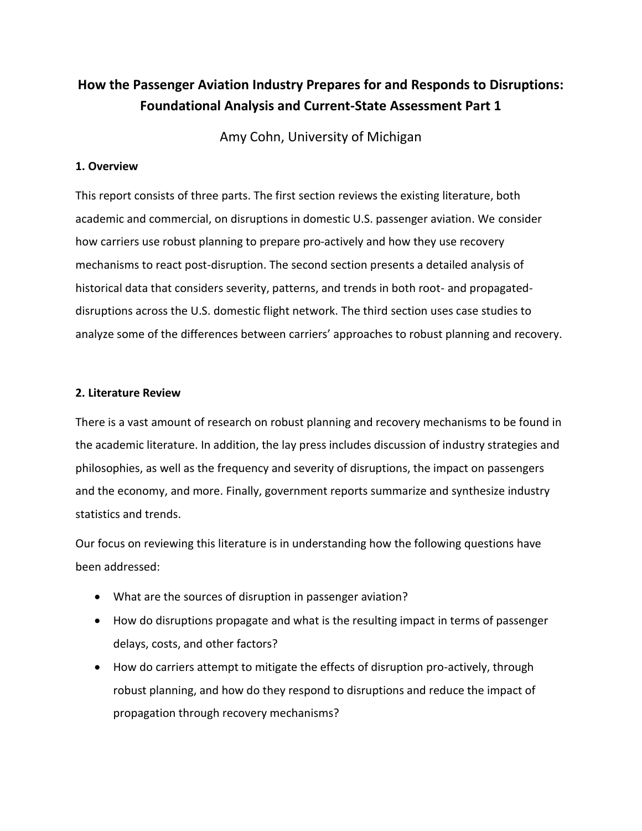# **How the Passenger Aviation Industry Prepares for and Responds to Disruptions: Foundational Analysis and Current-State Assessment Part 1**

Amy Cohn, University of Michigan

# **1. Overview**

This report consists of three parts. The first section reviews the existing literature, both academic and commercial, on disruptions in domestic U.S. passenger aviation. We consider how carriers use robust planning to prepare pro-actively and how they use recovery mechanisms to react post-disruption. The second section presents a detailed analysis of historical data that considers severity, patterns, and trends in both root- and propagateddisruptions across the U.S. domestic flight network. The third section uses case studies to analyze some of the differences between carriers' approaches to robust planning and recovery.

# **2. Literature Review**

There is a vast amount of research on robust planning and recovery mechanisms to be found in the academic literature. In addition, the lay press includes discussion of industry strategies and philosophies, as well as the frequency and severity of disruptions, the impact on passengers and the economy, and more. Finally, government reports summarize and synthesize industry statistics and trends.

Our focus on reviewing this literature is in understanding how the following questions have been addressed:

- What are the sources of disruption in passenger aviation?
- How do disruptions propagate and what is the resulting impact in terms of passenger delays, costs, and other factors?
- How do carriers attempt to mitigate the effects of disruption pro-actively, through robust planning, and how do they respond to disruptions and reduce the impact of propagation through recovery mechanisms?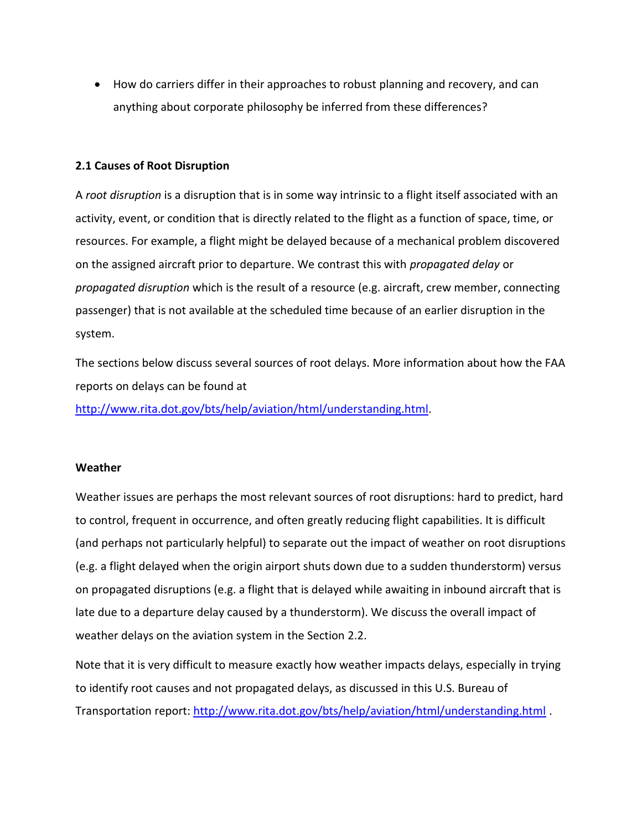How do carriers differ in their approaches to robust planning and recovery, and can anything about corporate philosophy be inferred from these differences?

# **2.1 Causes of Root Disruption**

A *root disruption* is a disruption that is in some way intrinsic to a flight itself associated with an activity, event, or condition that is directly related to the flight as a function of space, time, or resources. For example, a flight might be delayed because of a mechanical problem discovered on the assigned aircraft prior to departure. We contrast this with *propagated delay* or *propagated disruption* which is the result of a resource (e.g. aircraft, crew member, connecting passenger) that is not available at the scheduled time because of an earlier disruption in the system.

The sections below discuss several sources of root delays. More information about how the FAA reports on delays can be found at

[http://www.rita.dot.gov/bts/help/aviation/html/understanding.html.](http://www.rita.dot.gov/bts/help/aviation/html/understanding.html)

### **Weather**

Weather issues are perhaps the most relevant sources of root disruptions: hard to predict, hard to control, frequent in occurrence, and often greatly reducing flight capabilities. It is difficult (and perhaps not particularly helpful) to separate out the impact of weather on root disruptions (e.g. a flight delayed when the origin airport shuts down due to a sudden thunderstorm) versus on propagated disruptions (e.g. a flight that is delayed while awaiting in inbound aircraft that is late due to a departure delay caused by a thunderstorm). We discuss the overall impact of weather delays on the aviation system in the Section 2.2.

Note that it is very difficult to measure exactly how weather impacts delays, especially in trying to identify root causes and not propagated delays, as discussed in this U.S. Bureau of Transportation report:<http://www.rita.dot.gov/bts/help/aviation/html/understanding.html> .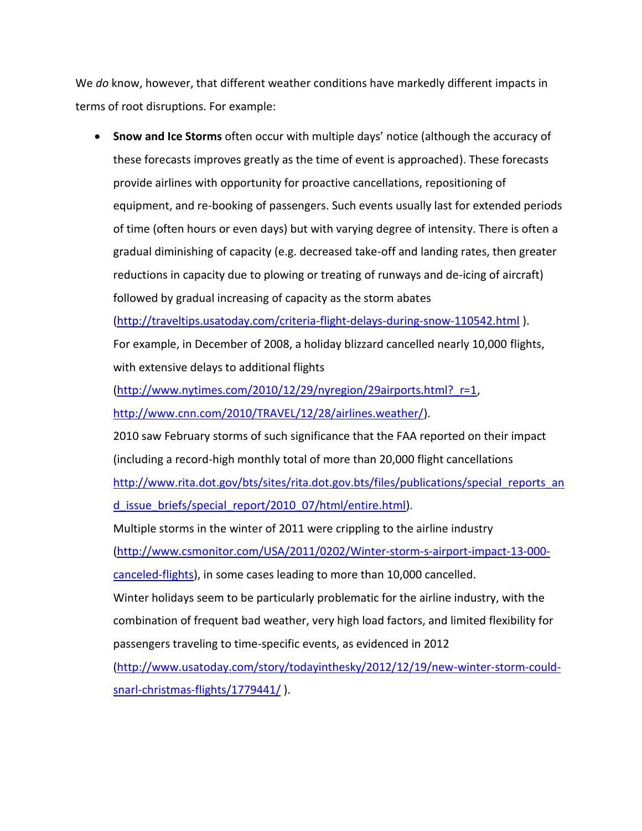We *do* know, however, that different weather conditions have markedly different impacts in terms of root disruptions. For example:

 **Snow and Ice Storms** often occur with multiple days' notice (although the accuracy of these forecasts improves greatly as the time of event is approached). These forecasts provide airlines with opportunity for proactive cancellations, repositioning of equipment, and re-booking of passengers. Such events usually last for extended periods of time (often hours or even days) but with varying degree of intensity. There is often a gradual diminishing of capacity (e.g. decreased take-off and landing rates, then greater reductions in capacity due to plowing or treating of runways and de-icing of aircraft) followed by gradual increasing of capacity as the storm abates

[\(http://traveltips.usatoday.com/criteria-flight-delays-during-snow-110542.html](http://traveltips.usatoday.com/criteria-flight-delays-during-snow-110542.html) ). For example, in December of 2008, a holiday blizzard cancelled nearly 10,000 flights, with extensive delays to additional flights

[\(http://www.nytimes.com/2010/12/29/nyregion/29airports.html?\\_r=1,](http://www.nytimes.com/2010/12/29/nyregion/29airports.html?_r=1)

[http://www.cnn.com/2010/TRAVEL/12/28/airlines.weather/\)](http://www.cnn.com/2010/TRAVEL/12/28/airlines.weather/).

2010 saw February storms of such significance that the FAA reported on their impact (including a record-high monthly total of more than 20,000 flight cancellations [http://www.rita.dot.gov/bts/sites/rita.dot.gov.bts/files/publications/special\\_reports\\_an](http://www.rita.dot.gov/bts/sites/rita.dot.gov.bts/files/publications/special_reports_and_issue_briefs/special_report/2010_07/html/entire.html)

d issue briefs/special report/2010 07/html/entire.html).

Multiple storms in the winter of 2011 were crippling to the airline industry [\(http://www.csmonitor.com/USA/2011/0202/Winter-storm-s-airport-impact-13-000](http://www.csmonitor.com/USA/2011/0202/Winter-storm-s-airport-impact-13-000-canceled-flights) [canceled-flights\)](http://www.csmonitor.com/USA/2011/0202/Winter-storm-s-airport-impact-13-000-canceled-flights), in some cases leading to more than 10,000 cancelled.

Winter holidays seem to be particularly problematic for the airline industry, with the combination of frequent bad weather, very high load factors, and limited flexibility for passengers traveling to time-specific events, as evidenced in 2012

[\(http://www.usatoday.com/story/todayinthesky/2012/12/19/new-winter-storm-could](http://www.usatoday.com/story/todayinthesky/2012/12/19/new-winter-storm-could-snarl-christmas-flights/1779441/)[snarl-christmas-flights/1779441/](http://www.usatoday.com/story/todayinthesky/2012/12/19/new-winter-storm-could-snarl-christmas-flights/1779441/) ).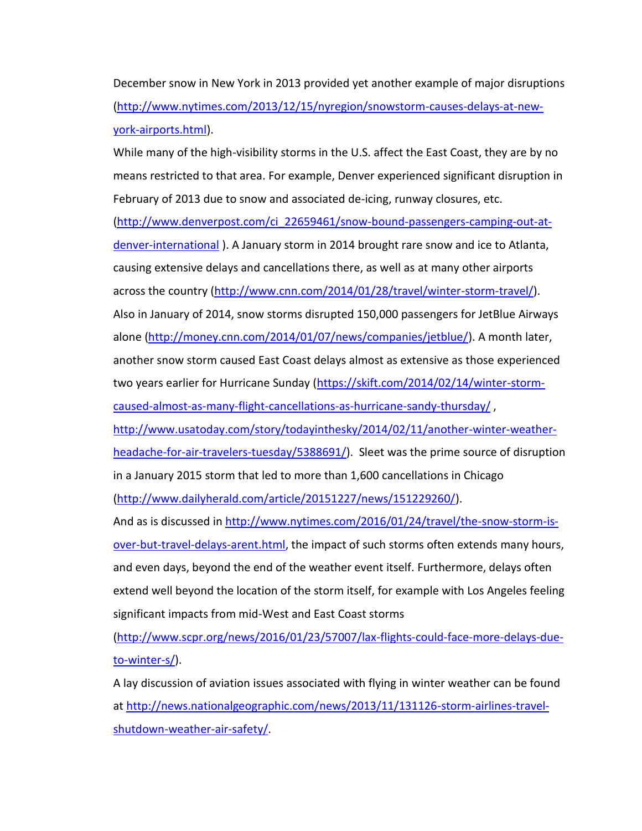December snow in New York in 2013 provided yet another example of major disruptions [\(http://www.nytimes.com/2013/12/15/nyregion/snowstorm-causes-delays-at-new](http://www.nytimes.com/2013/12/15/nyregion/snowstorm-causes-delays-at-new-york-airports.html)[york-airports.html\)](http://www.nytimes.com/2013/12/15/nyregion/snowstorm-causes-delays-at-new-york-airports.html).

While many of the high-visibility storms in the U.S. affect the East Coast, they are by no means restricted to that area. For example, Denver experienced significant disruption in February of 2013 due to snow and associated de-icing, runway closures, etc.

[\(http://www.denverpost.com/ci\\_22659461/snow-bound-passengers-camping-out-at](http://www.denverpost.com/ci_22659461/snow-bound-passengers-camping-out-at-denver-international)[denver-international](http://www.denverpost.com/ci_22659461/snow-bound-passengers-camping-out-at-denver-international) ). A January storm in 2014 brought rare snow and ice to Atlanta, causing extensive delays and cancellations there, as well as at many other airports

across the country [\(http://www.cnn.com/2014/01/28/travel/winter-storm-travel/\)](http://www.cnn.com/2014/01/28/travel/winter-storm-travel/).

Also in January of 2014, snow storms disrupted 150,000 passengers for JetBlue Airways alone [\(http://money.cnn.com/2014/01/07/news/companies/jetblue/\)](http://money.cnn.com/2014/01/07/news/companies/jetblue/). A month later, another snow storm caused East Coast delays almost as extensive as those experienced two years earlier for Hurricane Sunday [\(https://skift.com/2014/02/14/winter-storm](https://skift.com/2014/02/14/winter-storm-caused-almost-as-many-flight-cancellations-as-hurricane-sandy-thursday/)[caused-almost-as-many-flight-cancellations-as-hurricane-sandy-thursday/](https://skift.com/2014/02/14/winter-storm-caused-almost-as-many-flight-cancellations-as-hurricane-sandy-thursday/) ,

[http://www.usatoday.com/story/todayinthesky/2014/02/11/another-winter-weather](http://www.usatoday.com/story/todayinthesky/2014/02/11/another-winter-weather-headache-for-air-travelers-tuesday/5388691/)[headache-for-air-travelers-tuesday/5388691/\)](http://www.usatoday.com/story/todayinthesky/2014/02/11/another-winter-weather-headache-for-air-travelers-tuesday/5388691/). Sleet was the prime source of disruption in a January 2015 storm that led to more than 1,600 cancellations in Chicago

[\(http://www.dailyherald.com/article/20151227/news/151229260/\)](http://www.dailyherald.com/article/20151227/news/151229260/).

And as is discussed in [http://www.nytimes.com/2016/01/24/travel/the-snow-storm-is](http://www.nytimes.com/2016/01/24/travel/the-snow-storm-is-over-but-travel-delays-arent.html)[over-but-travel-delays-arent.html,](http://www.nytimes.com/2016/01/24/travel/the-snow-storm-is-over-but-travel-delays-arent.html) the impact of such storms often extends many hours, and even days, beyond the end of the weather event itself. Furthermore, delays often extend well beyond the location of the storm itself, for example with Los Angeles feeling significant impacts from mid-West and East Coast storms

[\(http://www.scpr.org/news/2016/01/23/57007/lax-flights-could-face-more-delays-due](http://www.scpr.org/news/2016/01/23/57007/lax-flights-could-face-more-delays-due-to-winter-s/)[to-winter-s/\)](http://www.scpr.org/news/2016/01/23/57007/lax-flights-could-face-more-delays-due-to-winter-s/).

A lay discussion of aviation issues associated with flying in winter weather can be found at [http://news.nationalgeographic.com/news/2013/11/131126-storm-airlines-travel](http://news.nationalgeographic.com/news/2013/11/131126-storm-airlines-travel-shutdown-weather-air-safety/)[shutdown-weather-air-safety/.](http://news.nationalgeographic.com/news/2013/11/131126-storm-airlines-travel-shutdown-weather-air-safety/)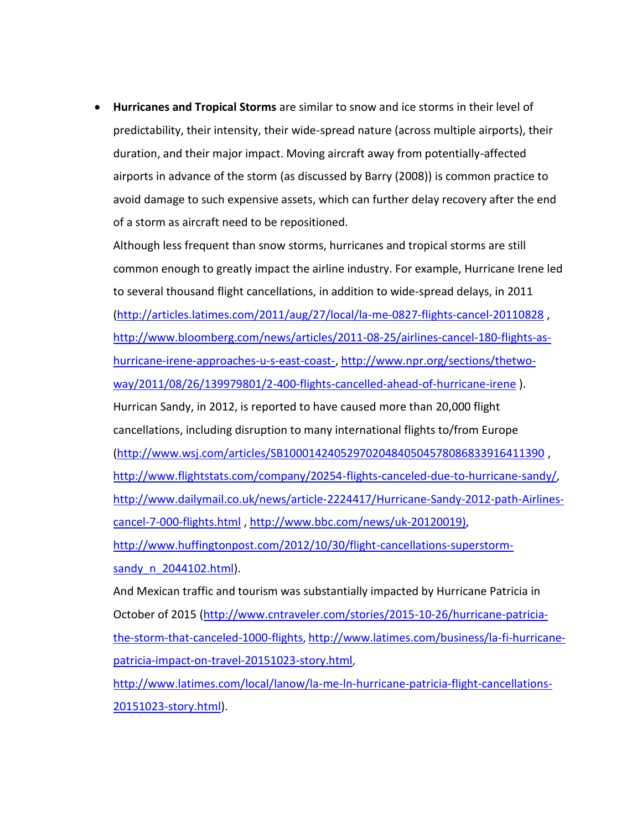**Hurricanes and Tropical Storms** are similar to snow and ice storms in their level of predictability, their intensity, their wide-spread nature (across multiple airports), their duration, and their major impact. Moving aircraft away from potentially-affected airports in advance of the storm (as discussed by Barry (2008)) is common practice to avoid damage to such expensive assets, which can further delay recovery after the end of a storm as aircraft need to be repositioned.

Although less frequent than snow storms, hurricanes and tropical storms are still common enough to greatly impact the airline industry. For example, Hurricane Irene led to several thousand flight cancellations, in addition to wide-spread delays, in 2011 [\(http://articles.latimes.com/2011/aug/27/local/la-me-0827-flights-cancel-20110828](http://articles.latimes.com/2011/aug/27/local/la-me-0827-flights-cancel-20110828) , [http://www.bloomberg.com/news/articles/2011-08-25/airlines-cancel-180-flights-as](http://www.bloomberg.com/news/articles/2011-08-25/airlines-cancel-180-flights-as-hurricane-irene-approaches-u-s-east-coast-)[hurricane-irene-approaches-u-s-east-coast-,](http://www.bloomberg.com/news/articles/2011-08-25/airlines-cancel-180-flights-as-hurricane-irene-approaches-u-s-east-coast-) [http://www.npr.org/sections/thetwo](http://www.npr.org/sections/thetwo-way/2011/08/26/139979801/2-400-flights-cancelled-ahead-of-hurricane-irene)[way/2011/08/26/139979801/2-400-flights-cancelled-ahead-of-hurricane-irene](http://www.npr.org/sections/thetwo-way/2011/08/26/139979801/2-400-flights-cancelled-ahead-of-hurricane-irene) ). Hurrican Sandy, in 2012, is reported to have caused more than 20,000 flight cancellations, including disruption to many international flights to/from Europe [\(http://www.wsj.com/articles/SB10001424052970204840504578086833916411390](http://www.wsj.com/articles/SB10001424052970204840504578086833916411390) , [http://www.flightstats.com/company/20254-flights-canceled-due-to-hurricane-sandy/,](http://www.flightstats.com/company/20254-flights-canceled-due-to-hurricane-sandy/) [http://www.dailymail.co.uk/news/article-2224417/Hurricane-Sandy-2012-path-Airlines](http://www.dailymail.co.uk/news/article-2224417/Hurricane-Sandy-2012-path-Airlines-cancel-7-000-flights.html)[cancel-7-000-flights.html](http://www.dailymail.co.uk/news/article-2224417/Hurricane-Sandy-2012-path-Airlines-cancel-7-000-flights.html) , [http://www.bbc.com/news/uk-20120019\),](http://www.bbc.com/news/uk-20120019)) [http://www.huffingtonpost.com/2012/10/30/flight-cancellations-superstorm](http://www.huffingtonpost.com/2012/10/30/flight-cancellations-superstorm-sandy_n_2044102.html)sandy n 2044102.html).

And Mexican traffic and tourism was substantially impacted by Hurricane Patricia in October of 2015 [\(http://www.cntraveler.com/stories/2015-10-26/hurricane-patricia](http://www.cntraveler.com/stories/2015-10-26/hurricane-patricia-the-storm-that-canceled-1000-flights)[the-storm-that-canceled-1000-flights](http://www.cntraveler.com/stories/2015-10-26/hurricane-patricia-the-storm-that-canceled-1000-flights), [http://www.latimes.com/business/la-fi-hurricane](http://www.latimes.com/business/la-fi-hurricane-patricia-impact-on-travel-20151023-story.html)[patricia-impact-on-travel-20151023-story.html](http://www.latimes.com/business/la-fi-hurricane-patricia-impact-on-travel-20151023-story.html),

[http://www.latimes.com/local/lanow/la-me-ln-hurricane-patricia-flight-cancellations-](http://www.latimes.com/local/lanow/la-me-ln-hurricane-patricia-flight-cancellations-20151023-story.html)[20151023-story.html\)](http://www.latimes.com/local/lanow/la-me-ln-hurricane-patricia-flight-cancellations-20151023-story.html).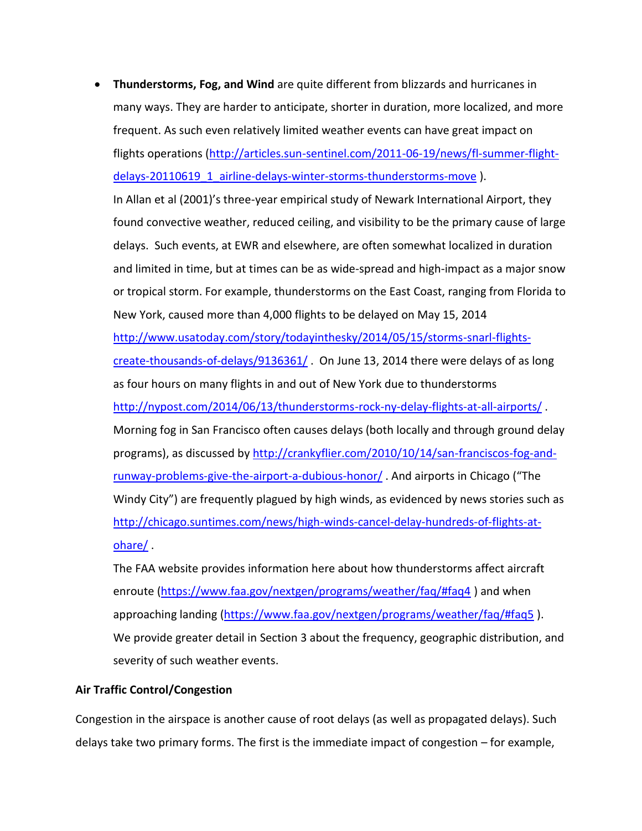**Thunderstorms, Fog, and Wind** are quite different from blizzards and hurricanes in many ways. They are harder to anticipate, shorter in duration, more localized, and more frequent. As such even relatively limited weather events can have great impact on flights operations [\(http://articles.sun-sentinel.com/2011-06-19/news/fl-summer-flight](http://articles.sun-sentinel.com/2011-06-19/news/fl-summer-flight-delays-20110619_1_airline-delays-winter-storms-thunderstorms-move)[delays-20110619\\_1\\_airline-delays-winter-storms-thunderstorms-move](http://articles.sun-sentinel.com/2011-06-19/news/fl-summer-flight-delays-20110619_1_airline-delays-winter-storms-thunderstorms-move) ).

In Allan et al (2001)'s three-year empirical study of Newark International Airport, they found convective weather, reduced ceiling, and visibility to be the primary cause of large delays. Such events, at EWR and elsewhere, are often somewhat localized in duration and limited in time, but at times can be as wide-spread and high-impact as a major snow or tropical storm. For example, thunderstorms on the East Coast, ranging from Florida to New York, caused more than 4,000 flights to be delayed on May 15, 2014 [http://www.usatoday.com/story/todayinthesky/2014/05/15/storms-snarl-flights](http://www.usatoday.com/story/todayinthesky/2014/05/15/storms-snarl-flights-create-thousands-of-delays/9136361/)[create-thousands-of-delays/9136361/](http://www.usatoday.com/story/todayinthesky/2014/05/15/storms-snarl-flights-create-thousands-of-delays/9136361/) . On June 13, 2014 there were delays of as long as four hours on many flights in and out of New York due to thunderstorms <http://nypost.com/2014/06/13/thunderstorms-rock-ny-delay-flights-at-all-airports/> . Morning fog in San Francisco often causes delays (both locally and through ground delay programs), as discussed by [http://crankyflier.com/2010/10/14/san-franciscos-fog-and](http://crankyflier.com/2010/10/14/san-franciscos-fog-and-runway-problems-give-the-airport-a-dubious-honor/)[runway-problems-give-the-airport-a-dubious-honor/](http://crankyflier.com/2010/10/14/san-franciscos-fog-and-runway-problems-give-the-airport-a-dubious-honor/) . And airports in Chicago ("The Windy City") are frequently plagued by high winds, as evidenced by news stories such as [http://chicago.suntimes.com/news/high-winds-cancel-delay-hundreds-of-flights-at](http://chicago.suntimes.com/news/high-winds-cancel-delay-hundreds-of-flights-at-ohare/)[ohare/](http://chicago.suntimes.com/news/high-winds-cancel-delay-hundreds-of-flights-at-ohare/) .

The FAA website provides information here about how thunderstorms affect aircraft enroute [\(https://www.faa.gov/nextgen/programs/weather/faq/#faq4](https://www.faa.gov/nextgen/programs/weather/faq/#faq4) ) and when approaching landing [\(https://www.faa.gov/nextgen/programs/weather/faq/#faq5](https://www.faa.gov/nextgen/programs/weather/faq/#faq5) ). We provide greater detail in Section 3 about the frequency, geographic distribution, and severity of such weather events.

# **Air Traffic Control/Congestion**

Congestion in the airspace is another cause of root delays (as well as propagated delays). Such delays take two primary forms. The first is the immediate impact of congestion – for example,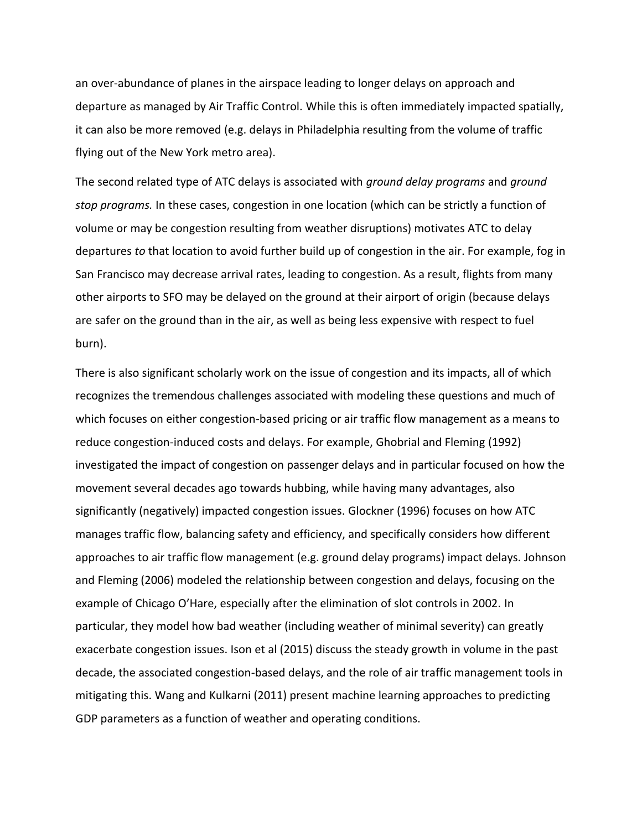an over-abundance of planes in the airspace leading to longer delays on approach and departure as managed by Air Traffic Control. While this is often immediately impacted spatially, it can also be more removed (e.g. delays in Philadelphia resulting from the volume of traffic flying out of the New York metro area).

The second related type of ATC delays is associated with *ground delay programs* and *ground stop programs.* In these cases, congestion in one location (which can be strictly a function of volume or may be congestion resulting from weather disruptions) motivates ATC to delay departures *to* that location to avoid further build up of congestion in the air. For example, fog in San Francisco may decrease arrival rates, leading to congestion. As a result, flights from many other airports to SFO may be delayed on the ground at their airport of origin (because delays are safer on the ground than in the air, as well as being less expensive with respect to fuel burn).

There is also significant scholarly work on the issue of congestion and its impacts, all of which recognizes the tremendous challenges associated with modeling these questions and much of which focuses on either congestion-based pricing or air traffic flow management as a means to reduce congestion-induced costs and delays. For example, Ghobrial and Fleming (1992) investigated the impact of congestion on passenger delays and in particular focused on how the movement several decades ago towards hubbing, while having many advantages, also significantly (negatively) impacted congestion issues. Glockner (1996) focuses on how ATC manages traffic flow, balancing safety and efficiency, and specifically considers how different approaches to air traffic flow management (e.g. ground delay programs) impact delays. Johnson and Fleming (2006) modeled the relationship between congestion and delays, focusing on the example of Chicago O'Hare, especially after the elimination of slot controls in 2002. In particular, they model how bad weather (including weather of minimal severity) can greatly exacerbate congestion issues. Ison et al (2015) discuss the steady growth in volume in the past decade, the associated congestion-based delays, and the role of air traffic management tools in mitigating this. Wang and Kulkarni (2011) present machine learning approaches to predicting GDP parameters as a function of weather and operating conditions.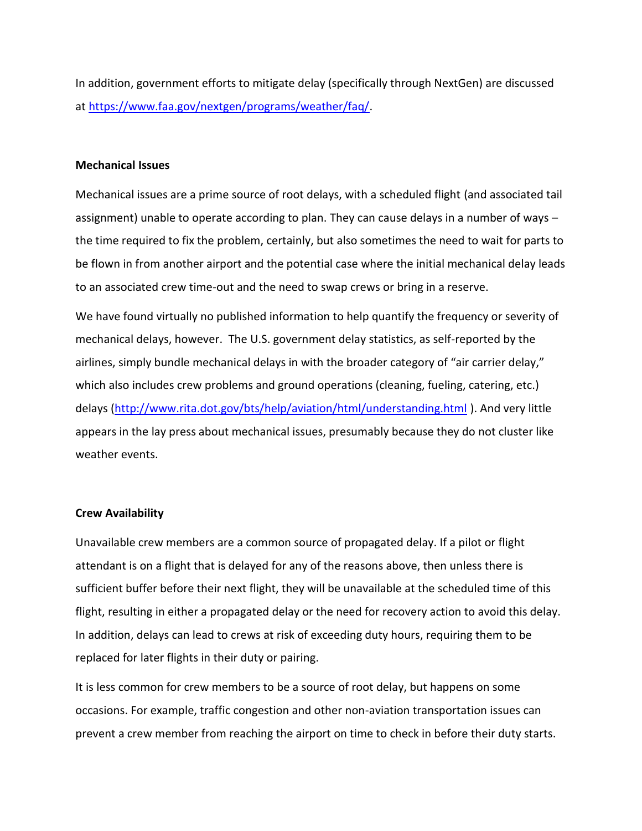In addition, government efforts to mitigate delay (specifically through NextGen) are discussed at [https://www.faa.gov/nextgen/programs/weather/faq/.](https://www.faa.gov/nextgen/programs/weather/faq/)

### **Mechanical Issues**

Mechanical issues are a prime source of root delays, with a scheduled flight (and associated tail assignment) unable to operate according to plan. They can cause delays in a number of ways – the time required to fix the problem, certainly, but also sometimes the need to wait for parts to be flown in from another airport and the potential case where the initial mechanical delay leads to an associated crew time-out and the need to swap crews or bring in a reserve.

We have found virtually no published information to help quantify the frequency or severity of mechanical delays, however. The U.S. government delay statistics, as self-reported by the airlines, simply bundle mechanical delays in with the broader category of "air carrier delay," which also includes crew problems and ground operations (cleaning, fueling, catering, etc.) delays [\(http://www.rita.dot.gov/bts/help/aviation/html/understanding.html](http://www.rita.dot.gov/bts/help/aviation/html/understanding.html) ). And very little appears in the lay press about mechanical issues, presumably because they do not cluster like weather events.

### **Crew Availability**

Unavailable crew members are a common source of propagated delay. If a pilot or flight attendant is on a flight that is delayed for any of the reasons above, then unless there is sufficient buffer before their next flight, they will be unavailable at the scheduled time of this flight, resulting in either a propagated delay or the need for recovery action to avoid this delay. In addition, delays can lead to crews at risk of exceeding duty hours, requiring them to be replaced for later flights in their duty or pairing.

It is less common for crew members to be a source of root delay, but happens on some occasions. For example, traffic congestion and other non-aviation transportation issues can prevent a crew member from reaching the airport on time to check in before their duty starts.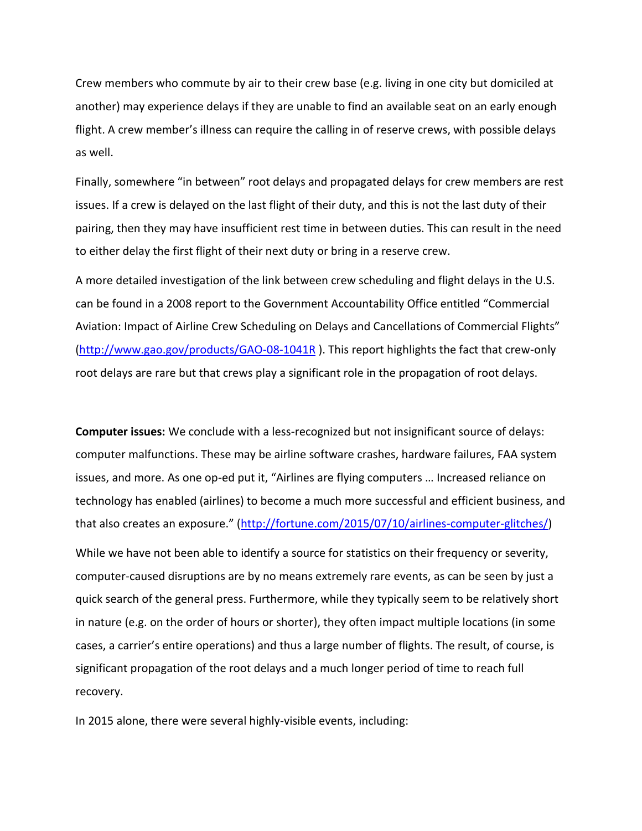Crew members who commute by air to their crew base (e.g. living in one city but domiciled at another) may experience delays if they are unable to find an available seat on an early enough flight. A crew member's illness can require the calling in of reserve crews, with possible delays as well.

Finally, somewhere "in between" root delays and propagated delays for crew members are rest issues. If a crew is delayed on the last flight of their duty, and this is not the last duty of their pairing, then they may have insufficient rest time in between duties. This can result in the need to either delay the first flight of their next duty or bring in a reserve crew.

A more detailed investigation of the link between crew scheduling and flight delays in the U.S. can be found in a 2008 report to the Government Accountability Office entitled "Commercial Aviation: Impact of Airline Crew Scheduling on Delays and Cancellations of Commercial Flights" [\(http://www.gao.gov/products/GAO-08-1041R](http://www.gao.gov/products/GAO-08-1041R) ). This report highlights the fact that crew-only root delays are rare but that crews play a significant role in the propagation of root delays.

**Computer issues:** We conclude with a less-recognized but not insignificant source of delays: computer malfunctions. These may be airline software crashes, hardware failures, FAA system issues, and more. As one op-ed put it, "Airlines are flying computers … Increased reliance on technology has enabled (airlines) to become a much more successful and efficient business, and that also creates an exposure." ([http://fortune.com/2015/07/10/airlines-computer-glitches/\)](http://fortune.com/2015/07/10/airlines-computer-glitches/) While we have not been able to identify a source for statistics on their frequency or severity, computer-caused disruptions are by no means extremely rare events, as can be seen by just a quick search of the general press. Furthermore, while they typically seem to be relatively short in nature (e.g. on the order of hours or shorter), they often impact multiple locations (in some cases, a carrier's entire operations) and thus a large number of flights. The result, of course, is significant propagation of the root delays and a much longer period of time to reach full recovery.

In 2015 alone, there were several highly-visible events, including: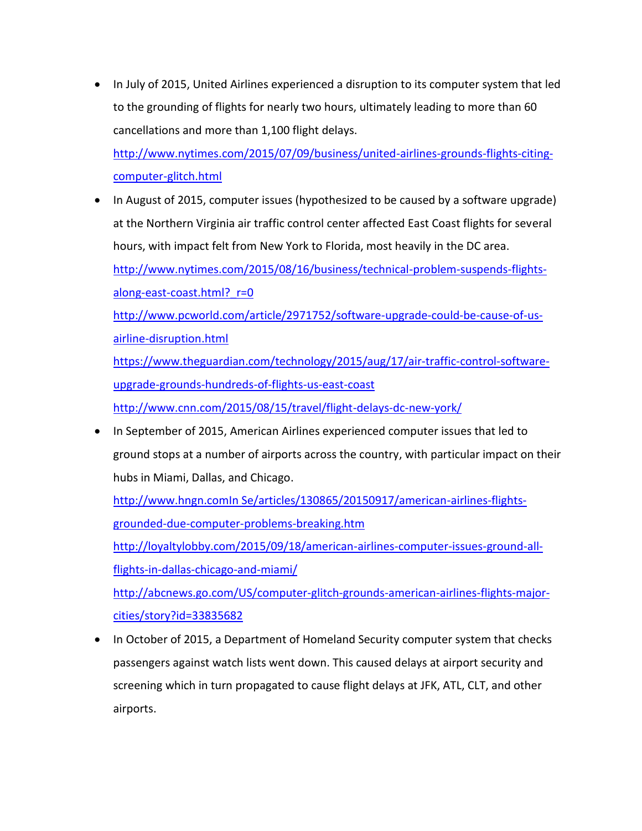In July of 2015, United Airlines experienced a disruption to its computer system that led to the grounding of flights for nearly two hours, ultimately leading to more than 60 cancellations and more than 1,100 flight delays.

[http://www.nytimes.com/2015/07/09/business/united-airlines-grounds-flights-citing](http://www.nytimes.com/2015/07/09/business/united-airlines-grounds-flights-citing-computer-glitch.html)[computer-glitch.html](http://www.nytimes.com/2015/07/09/business/united-airlines-grounds-flights-citing-computer-glitch.html)

- In August of 2015, computer issues (hypothesized to be caused by a software upgrade) at the Northern Virginia air traffic control center affected East Coast flights for several hours, with impact felt from New York to Florida, most heavily in the DC area. [http://www.nytimes.com/2015/08/16/business/technical-problem-suspends-flights](http://www.nytimes.com/2015/08/16/business/technical-problem-suspends-flights-along-east-coast.html?_r=0)along-east-coast.html? r=0 [http://www.pcworld.com/article/2971752/software-upgrade-could-be-cause-of-us](http://www.pcworld.com/article/2971752/software-upgrade-could-be-cause-of-us-airline-disruption.html)[airline-disruption.html](http://www.pcworld.com/article/2971752/software-upgrade-could-be-cause-of-us-airline-disruption.html) [https://www.theguardian.com/technology/2015/aug/17/air-traffic-control-software](https://www.theguardian.com/technology/2015/aug/17/air-traffic-control-software-upgrade-grounds-hundreds-of-flights-us-east-coast)[upgrade-grounds-hundreds-of-flights-us-east-coast](https://www.theguardian.com/technology/2015/aug/17/air-traffic-control-software-upgrade-grounds-hundreds-of-flights-us-east-coast) <http://www.cnn.com/2015/08/15/travel/flight-delays-dc-new-york/>
- In September of 2015, American Airlines experienced computer issues that led to ground stops at a number of airports across the country, with particular impact on their hubs in Miami, Dallas, and Chicago.

http://www.hngn.comIn Se/articles/130865/20150917/american-airlines-flightsgrounded-due-computer-problems-breaking.htm

[http://loyaltylobby.com/2015/09/18/american-airlines-computer-issues-ground-all](http://loyaltylobby.com/2015/09/18/american-airlines-computer-issues-ground-all-flights-in-dallas-chicago-and-miami/)[flights-in-dallas-chicago-and-miami/](http://loyaltylobby.com/2015/09/18/american-airlines-computer-issues-ground-all-flights-in-dallas-chicago-and-miami/)

[http://abcnews.go.com/US/computer-glitch-grounds-american-airlines-flights-major](http://abcnews.go.com/US/computer-glitch-grounds-american-airlines-flights-major-cities/story?id=33835682)[cities/story?id=33835682](http://abcnews.go.com/US/computer-glitch-grounds-american-airlines-flights-major-cities/story?id=33835682)

• In October of 2015, a Department of Homeland Security computer system that checks passengers against watch lists went down. This caused delays at airport security and screening which in turn propagated to cause flight delays at JFK, ATL, CLT, and other airports.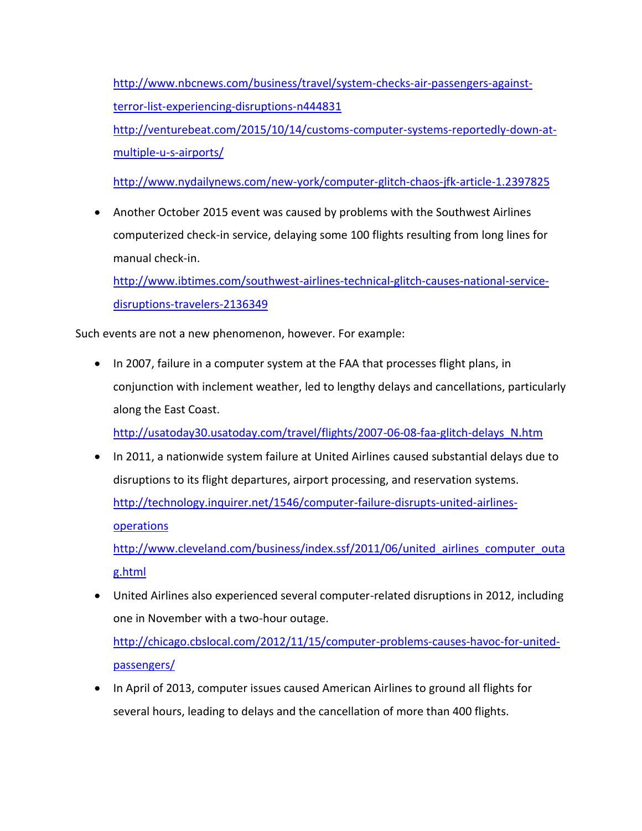[http://www.nbcnews.com/business/travel/system-checks-air-passengers-against](http://www.nbcnews.com/business/travel/system-checks-air-passengers-against-terror-list-experiencing-disruptions-n444831)[terror-list-experiencing-disruptions-n444831](http://www.nbcnews.com/business/travel/system-checks-air-passengers-against-terror-list-experiencing-disruptions-n444831) [http://venturebeat.com/2015/10/14/customs-computer-systems-reportedly-down-at](http://venturebeat.com/2015/10/14/customs-computer-systems-reportedly-down-at-multiple-u-s-airports/)[multiple-u-s-airports/](http://venturebeat.com/2015/10/14/customs-computer-systems-reportedly-down-at-multiple-u-s-airports/)

<http://www.nydailynews.com/new-york/computer-glitch-chaos-jfk-article-1.2397825>

 Another October 2015 event was caused by problems with the Southwest Airlines computerized check-in service, delaying some 100 flights resulting from long lines for manual check-in.

[http://www.ibtimes.com/southwest-airlines-technical-glitch-causes-national-service](http://www.ibtimes.com/southwest-airlines-technical-glitch-causes-national-service-disruptions-travelers-2136349)[disruptions-travelers-2136349](http://www.ibtimes.com/southwest-airlines-technical-glitch-causes-national-service-disruptions-travelers-2136349)

Such events are not a new phenomenon, however. For example:

• In 2007, failure in a computer system at the FAA that processes flight plans, in conjunction with inclement weather, led to lengthy delays and cancellations, particularly along the East Coast.

[http://usatoday30.usatoday.com/travel/flights/2007-06-08-faa-glitch-delays\\_N.htm](http://usatoday30.usatoday.com/travel/flights/2007-06-08-faa-glitch-delays_N.htm)

• In 2011, a nationwide system failure at United Airlines caused substantial delays due to disruptions to its flight departures, airport processing, and reservation systems. [http://technology.inquirer.net/1546/computer-failure-disrupts-united-airlines](http://technology.inquirer.net/1546/computer-failure-disrupts-united-airlines-operations)[operations](http://technology.inquirer.net/1546/computer-failure-disrupts-united-airlines-operations) http://www.cleveland.com/business/index.ssf/2011/06/united airlines computer outa

[g.html](http://www.cleveland.com/business/index.ssf/2011/06/united_airlines_computer_outag.html)

 United Airlines also experienced several computer-related disruptions in 2012, including one in November with a two-hour outage.

[http://chicago.cbslocal.com/2012/11/15/computer-problems-causes-havoc-for-united](http://chicago.cbslocal.com/2012/11/15/computer-problems-causes-havoc-for-united-passengers/)[passengers/](http://chicago.cbslocal.com/2012/11/15/computer-problems-causes-havoc-for-united-passengers/)

• In April of 2013, computer issues caused American Airlines to ground all flights for several hours, leading to delays and the cancellation of more than 400 flights.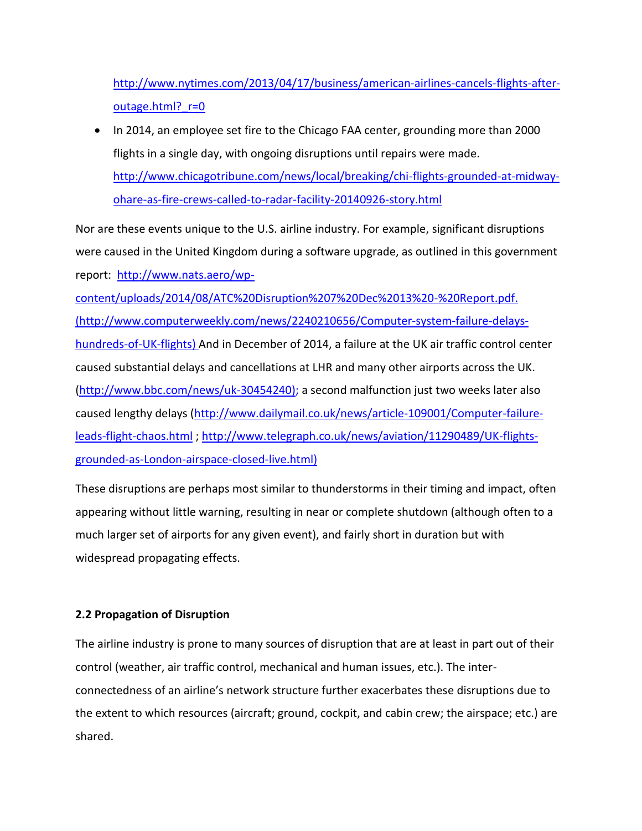[http://www.nytimes.com/2013/04/17/business/american-airlines-cancels-flights-after](http://www.nytimes.com/2013/04/17/business/american-airlines-cancels-flights-after-outage.html?_r=0)outage.html? r=0

• In 2014, an employee set fire to the Chicago FAA center, grounding more than 2000 flights in a single day, with ongoing disruptions until repairs were made. [http://www.chicagotribune.com/news/local/breaking/chi-flights-grounded-at-midway](http://www.chicagotribune.com/news/local/breaking/chi-flights-grounded-at-midway-ohare-as-fire-crews-called-to-radar-facility-20140926-story.html)[ohare-as-fire-crews-called-to-radar-facility-20140926-story.html](http://www.chicagotribune.com/news/local/breaking/chi-flights-grounded-at-midway-ohare-as-fire-crews-called-to-radar-facility-20140926-story.html)

Nor are these events unique to the U.S. airline industry. For example, significant disruptions were caused in the United Kingdom during a software upgrade, as outlined in this government report: [http://www.nats.aero/wp-](http://www.nats.aero/wp-content/uploads/2014/08/ATC%20Disruption%207%20Dec%2013%20-%20Report.pdf)

[content/uploads/2014/08/ATC%20Disruption%207%20Dec%2013%20-%20Report.pdf.](http://www.nats.aero/wp-content/uploads/2014/08/ATC%20Disruption%207%20Dec%2013%20-%20Report.pdf) (http://www.computerweekly.com/news/2240210656/Computer-system-failure-delayshundreds-of-UK-flights) And in December of 2014, a failure at the UK air traffic control center caused substantial delays and cancellations at LHR and many other airports across the UK. [\(http://www.bbc.com/news/uk-30454240\)](http://www.bbc.com/news/uk-30454240); a second malfunction just two weeks later also caused lengthy delays [\(http://www.dailymail.co.uk/news/article-109001/Computer-failure](http://www.dailymail.co.uk/news/article-109001/Computer-failure-leads-flight-chaos.html)[leads-flight-chaos.html](http://www.dailymail.co.uk/news/article-109001/Computer-failure-leads-flight-chaos.html) ; [http://www.telegraph.co.uk/news/aviation/11290489/UK-flights](http://www.telegraph.co.uk/news/aviation/11290489/UK-flights-grounded-as-London-airspace-closed-live.html)[grounded-as-London-airspace-closed-live.html\)](http://www.telegraph.co.uk/news/aviation/11290489/UK-flights-grounded-as-London-airspace-closed-live.html)

These disruptions are perhaps most similar to thunderstorms in their timing and impact, often appearing without little warning, resulting in near or complete shutdown (although often to a much larger set of airports for any given event), and fairly short in duration but with widespread propagating effects.

# **2.2 Propagation of Disruption**

The airline industry is prone to many sources of disruption that are at least in part out of their control (weather, air traffic control, mechanical and human issues, etc.). The interconnectedness of an airline's network structure further exacerbates these disruptions due to the extent to which resources (aircraft; ground, cockpit, and cabin crew; the airspace; etc.) are shared.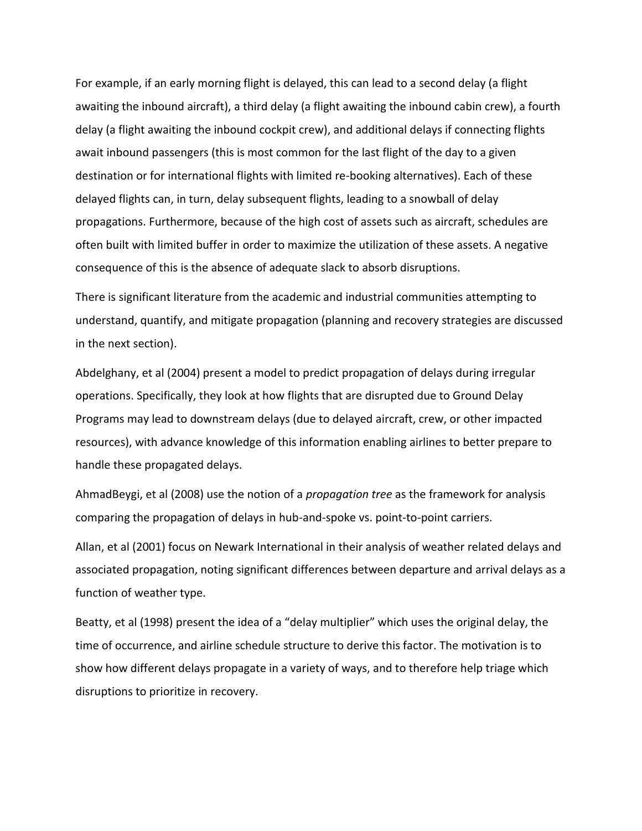For example, if an early morning flight is delayed, this can lead to a second delay (a flight awaiting the inbound aircraft), a third delay (a flight awaiting the inbound cabin crew), a fourth delay (a flight awaiting the inbound cockpit crew), and additional delays if connecting flights await inbound passengers (this is most common for the last flight of the day to a given destination or for international flights with limited re-booking alternatives). Each of these delayed flights can, in turn, delay subsequent flights, leading to a snowball of delay propagations. Furthermore, because of the high cost of assets such as aircraft, schedules are often built with limited buffer in order to maximize the utilization of these assets. A negative consequence of this is the absence of adequate slack to absorb disruptions.

There is significant literature from the academic and industrial communities attempting to understand, quantify, and mitigate propagation (planning and recovery strategies are discussed in the next section).

Abdelghany, et al (2004) present a model to predict propagation of delays during irregular operations. Specifically, they look at how flights that are disrupted due to Ground Delay Programs may lead to downstream delays (due to delayed aircraft, crew, or other impacted resources), with advance knowledge of this information enabling airlines to better prepare to handle these propagated delays.

AhmadBeygi, et al (2008) use the notion of a *propagation tree* as the framework for analysis comparing the propagation of delays in hub-and-spoke vs. point-to-point carriers.

Allan, et al (2001) focus on Newark International in their analysis of weather related delays and associated propagation, noting significant differences between departure and arrival delays as a function of weather type.

Beatty, et al (1998) present the idea of a "delay multiplier" which uses the original delay, the time of occurrence, and airline schedule structure to derive this factor. The motivation is to show how different delays propagate in a variety of ways, and to therefore help triage which disruptions to prioritize in recovery.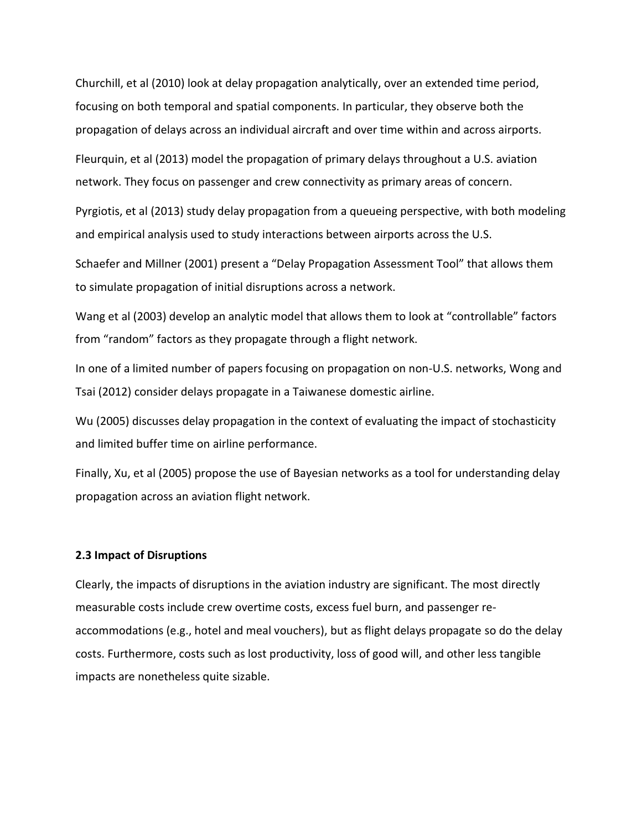Churchill, et al (2010) look at delay propagation analytically, over an extended time period, focusing on both temporal and spatial components. In particular, they observe both the propagation of delays across an individual aircraft and over time within and across airports.

Fleurquin, et al (2013) model the propagation of primary delays throughout a U.S. aviation network. They focus on passenger and crew connectivity as primary areas of concern.

Pyrgiotis, et al (2013) study delay propagation from a queueing perspective, with both modeling and empirical analysis used to study interactions between airports across the U.S.

Schaefer and Millner (2001) present a "Delay Propagation Assessment Tool" that allows them to simulate propagation of initial disruptions across a network.

Wang et al (2003) develop an analytic model that allows them to look at "controllable" factors from "random" factors as they propagate through a flight network.

In one of a limited number of papers focusing on propagation on non-U.S. networks, Wong and Tsai (2012) consider delays propagate in a Taiwanese domestic airline.

Wu (2005) discusses delay propagation in the context of evaluating the impact of stochasticity and limited buffer time on airline performance.

Finally, Xu, et al (2005) propose the use of Bayesian networks as a tool for understanding delay propagation across an aviation flight network.

### **2.3 Impact of Disruptions**

Clearly, the impacts of disruptions in the aviation industry are significant. The most directly measurable costs include crew overtime costs, excess fuel burn, and passenger reaccommodations (e.g., hotel and meal vouchers), but as flight delays propagate so do the delay costs. Furthermore, costs such as lost productivity, loss of good will, and other less tangible impacts are nonetheless quite sizable.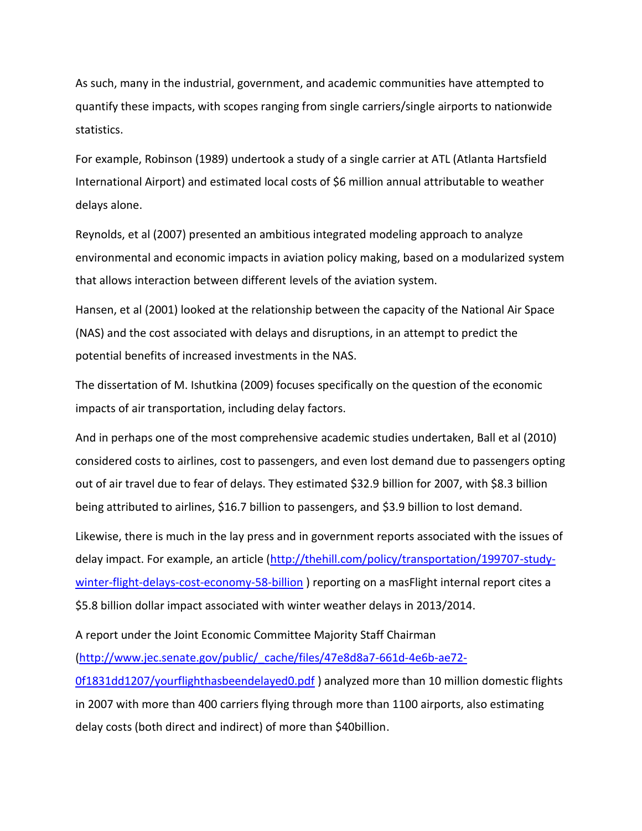As such, many in the industrial, government, and academic communities have attempted to quantify these impacts, with scopes ranging from single carriers/single airports to nationwide statistics.

For example, Robinson (1989) undertook a study of a single carrier at ATL (Atlanta Hartsfield International Airport) and estimated local costs of \$6 million annual attributable to weather delays alone.

Reynolds, et al (2007) presented an ambitious integrated modeling approach to analyze environmental and economic impacts in aviation policy making, based on a modularized system that allows interaction between different levels of the aviation system.

Hansen, et al (2001) looked at the relationship between the capacity of the National Air Space (NAS) and the cost associated with delays and disruptions, in an attempt to predict the potential benefits of increased investments in the NAS.

The dissertation of M. Ishutkina (2009) focuses specifically on the question of the economic impacts of air transportation, including delay factors.

And in perhaps one of the most comprehensive academic studies undertaken, Ball et al (2010) considered costs to airlines, cost to passengers, and even lost demand due to passengers opting out of air travel due to fear of delays. They estimated \$32.9 billion for 2007, with \$8.3 billion being attributed to airlines, \$16.7 billion to passengers, and \$3.9 billion to lost demand.

Likewise, there is much in the lay press and in government reports associated with the issues of delay impact. For example, an article [\(http://thehill.com/policy/transportation/199707-study](http://thehill.com/policy/transportation/199707-study-winter-flight-delays-cost-economy-58-billion)[winter-flight-delays-cost-economy-58-billion](http://thehill.com/policy/transportation/199707-study-winter-flight-delays-cost-economy-58-billion) ) reporting on a masFlight internal report cites a \$5.8 billion dollar impact associated with winter weather delays in 2013/2014.

A report under the Joint Economic Committee Majority Staff Chairman

[\(http://www.jec.senate.gov/public/\\_cache/files/47e8d8a7-661d-4e6b-ae72-](http://www.jec.senate.gov/public/_cache/files/47e8d8a7-661d-4e6b-ae72-0f1831dd1207/yourflighthasbeendelayed0.pdf)

[0f1831dd1207/yourflighthasbeendelayed0.pdf](http://www.jec.senate.gov/public/_cache/files/47e8d8a7-661d-4e6b-ae72-0f1831dd1207/yourflighthasbeendelayed0.pdf) ) analyzed more than 10 million domestic flights in 2007 with more than 400 carriers flying through more than 1100 airports, also estimating delay costs (both direct and indirect) of more than \$40billion.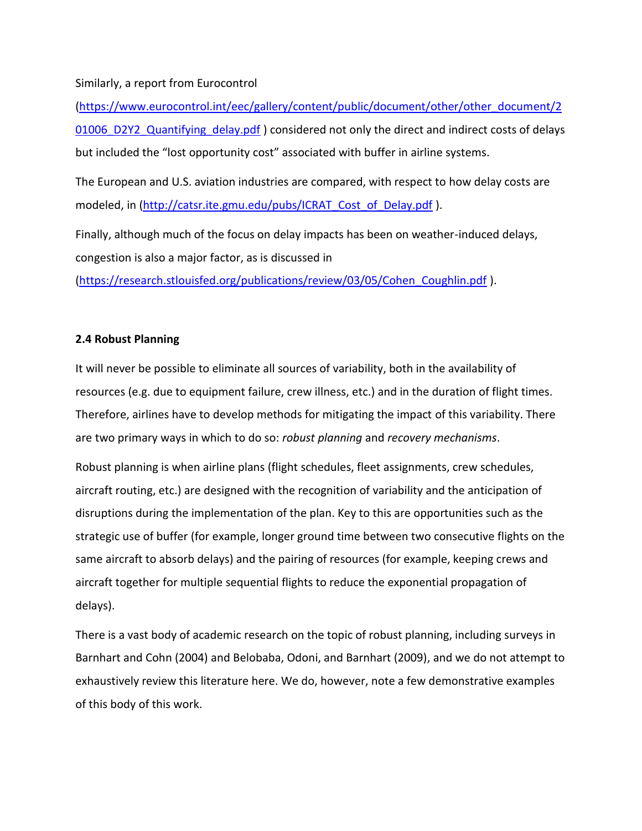# Similarly, a report from Eurocontrol

[\(https://www.eurocontrol.int/eec/gallery/content/public/document/other/other\\_document/2](https://www.eurocontrol.int/eec/gallery/content/public/document/other/other_document/201006_D2Y2_Quantifying_delay.pdf) 01006 D2Y2 Quantifying delay.pdf ) considered not only the direct and indirect costs of delays but included the "lost opportunity cost" associated with buffer in airline systems.

The European and U.S. aviation industries are compared, with respect to how delay costs are modeled, in [\(http://catsr.ite.gmu.edu/pubs/ICRAT\\_Cost\\_of\\_Delay.pdf](http://catsr.ite.gmu.edu/pubs/ICRAT_Cost_of_Delay.pdf) ).

Finally, although much of the focus on delay impacts has been on weather-induced delays, congestion is also a major factor, as is discussed in

[\(https://research.stlouisfed.org/publications/review/03/05/Cohen\\_Coughlin.pdf](https://research.stlouisfed.org/publications/review/03/05/Cohen_Coughlin.pdf) ).

# **2.4 Robust Planning**

It will never be possible to eliminate all sources of variability, both in the availability of resources (e.g. due to equipment failure, crew illness, etc.) and in the duration of flight times. Therefore, airlines have to develop methods for mitigating the impact of this variability. There are two primary ways in which to do so: *robust planning* and *recovery mechanisms*.

Robust planning is when airline plans (flight schedules, fleet assignments, crew schedules, aircraft routing, etc.) are designed with the recognition of variability and the anticipation of disruptions during the implementation of the plan. Key to this are opportunities such as the strategic use of buffer (for example, longer ground time between two consecutive flights on the same aircraft to absorb delays) and the pairing of resources (for example, keeping crews and aircraft together for multiple sequential flights to reduce the exponential propagation of delays).

There is a vast body of academic research on the topic of robust planning, including surveys in Barnhart and Cohn (2004) and Belobaba, Odoni, and Barnhart (2009), and we do not attempt to exhaustively review this literature here. We do, however, note a few demonstrative examples of this body of this work.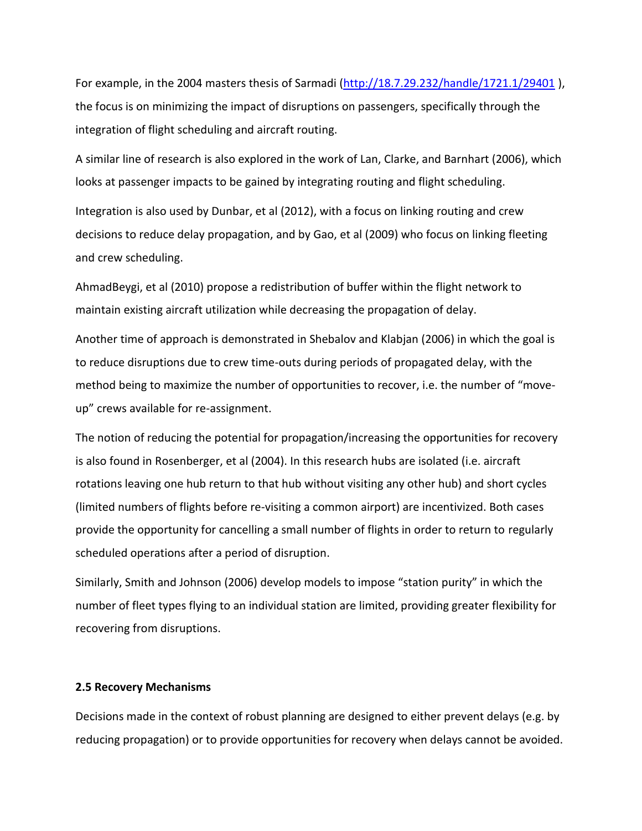For example, in the 2004 masters thesis of Sarmadi [\(http://18.7.29.232/handle/1721.1/29401](http://18.7.29.232/handle/1721.1/29401) ), the focus is on minimizing the impact of disruptions on passengers, specifically through the integration of flight scheduling and aircraft routing.

A similar line of research is also explored in the work of Lan, Clarke, and Barnhart (2006), which looks at passenger impacts to be gained by integrating routing and flight scheduling.

Integration is also used by Dunbar, et al (2012), with a focus on linking routing and crew decisions to reduce delay propagation, and by Gao, et al (2009) who focus on linking fleeting and crew scheduling.

AhmadBeygi, et al (2010) propose a redistribution of buffer within the flight network to maintain existing aircraft utilization while decreasing the propagation of delay.

Another time of approach is demonstrated in Shebalov and Klabjan (2006) in which the goal is to reduce disruptions due to crew time-outs during periods of propagated delay, with the method being to maximize the number of opportunities to recover, i.e. the number of "moveup" crews available for re-assignment.

The notion of reducing the potential for propagation/increasing the opportunities for recovery is also found in Rosenberger, et al (2004). In this research hubs are isolated (i.e. aircraft rotations leaving one hub return to that hub without visiting any other hub) and short cycles (limited numbers of flights before re-visiting a common airport) are incentivized. Both cases provide the opportunity for cancelling a small number of flights in order to return to regularly scheduled operations after a period of disruption.

Similarly, Smith and Johnson (2006) develop models to impose "station purity" in which the number of fleet types flying to an individual station are limited, providing greater flexibility for recovering from disruptions.

### **2.5 Recovery Mechanisms**

Decisions made in the context of robust planning are designed to either prevent delays (e.g. by reducing propagation) or to provide opportunities for recovery when delays cannot be avoided.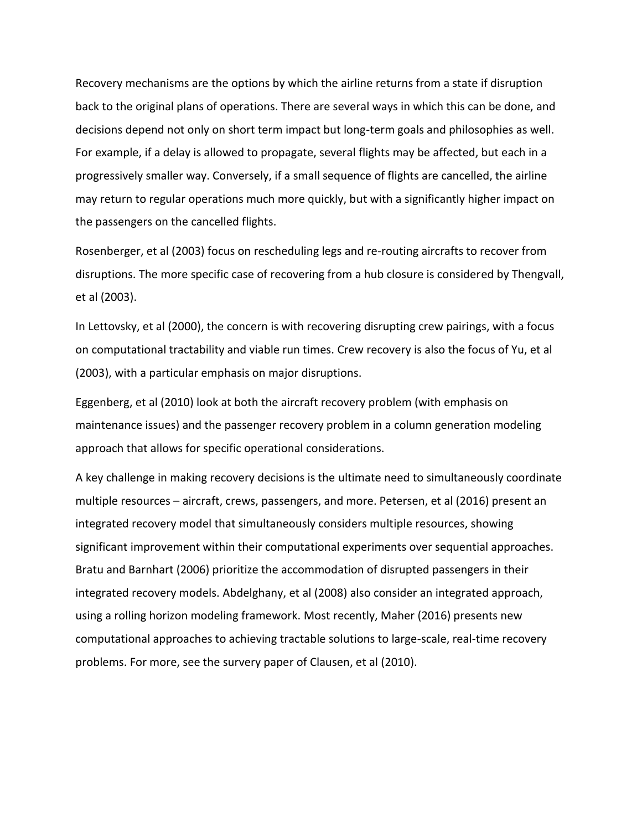Recovery mechanisms are the options by which the airline returns from a state if disruption back to the original plans of operations. There are several ways in which this can be done, and decisions depend not only on short term impact but long-term goals and philosophies as well. For example, if a delay is allowed to propagate, several flights may be affected, but each in a progressively smaller way. Conversely, if a small sequence of flights are cancelled, the airline may return to regular operations much more quickly, but with a significantly higher impact on the passengers on the cancelled flights.

Rosenberger, et al (2003) focus on rescheduling legs and re-routing aircrafts to recover from disruptions. The more specific case of recovering from a hub closure is considered by Thengvall, et al (2003).

In Lettovsky, et al (2000), the concern is with recovering disrupting crew pairings, with a focus on computational tractability and viable run times. Crew recovery is also the focus of Yu, et al (2003), with a particular emphasis on major disruptions.

Eggenberg, et al (2010) look at both the aircraft recovery problem (with emphasis on maintenance issues) and the passenger recovery problem in a column generation modeling approach that allows for specific operational considerations.

A key challenge in making recovery decisions is the ultimate need to simultaneously coordinate multiple resources – aircraft, crews, passengers, and more. Petersen, et al (2016) present an integrated recovery model that simultaneously considers multiple resources, showing significant improvement within their computational experiments over sequential approaches. Bratu and Barnhart (2006) prioritize the accommodation of disrupted passengers in their integrated recovery models. Abdelghany, et al (2008) also consider an integrated approach, using a rolling horizon modeling framework. Most recently, Maher (2016) presents new computational approaches to achieving tractable solutions to large-scale, real-time recovery problems. For more, see the survery paper of Clausen, et al (2010).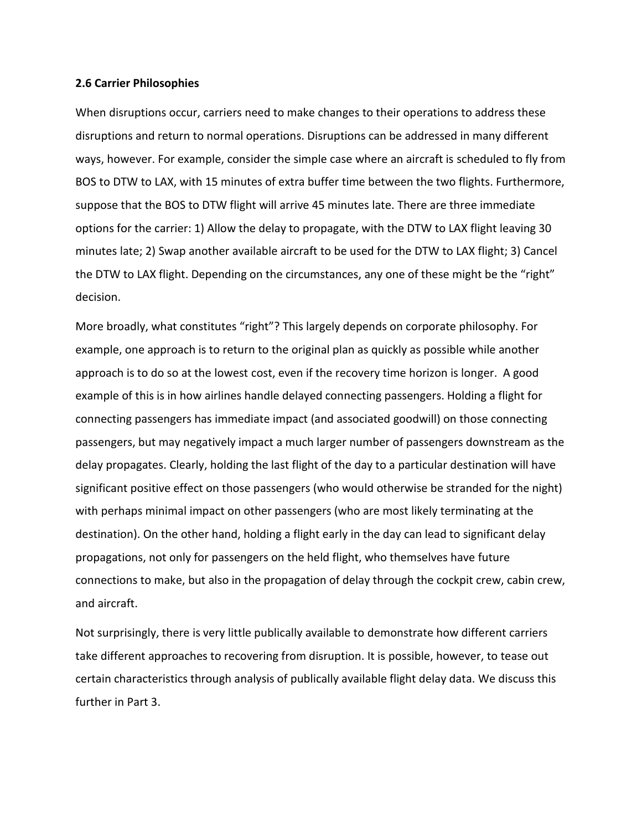#### **2.6 Carrier Philosophies**

When disruptions occur, carriers need to make changes to their operations to address these disruptions and return to normal operations. Disruptions can be addressed in many different ways, however. For example, consider the simple case where an aircraft is scheduled to fly from BOS to DTW to LAX, with 15 minutes of extra buffer time between the two flights. Furthermore, suppose that the BOS to DTW flight will arrive 45 minutes late. There are three immediate options for the carrier: 1) Allow the delay to propagate, with the DTW to LAX flight leaving 30 minutes late; 2) Swap another available aircraft to be used for the DTW to LAX flight; 3) Cancel the DTW to LAX flight. Depending on the circumstances, any one of these might be the "right" decision.

More broadly, what constitutes "right"? This largely depends on corporate philosophy. For example, one approach is to return to the original plan as quickly as possible while another approach is to do so at the lowest cost, even if the recovery time horizon is longer. A good example of this is in how airlines handle delayed connecting passengers. Holding a flight for connecting passengers has immediate impact (and associated goodwill) on those connecting passengers, but may negatively impact a much larger number of passengers downstream as the delay propagates. Clearly, holding the last flight of the day to a particular destination will have significant positive effect on those passengers (who would otherwise be stranded for the night) with perhaps minimal impact on other passengers (who are most likely terminating at the destination). On the other hand, holding a flight early in the day can lead to significant delay propagations, not only for passengers on the held flight, who themselves have future connections to make, but also in the propagation of delay through the cockpit crew, cabin crew, and aircraft.

Not surprisingly, there is very little publically available to demonstrate how different carriers take different approaches to recovering from disruption. It is possible, however, to tease out certain characteristics through analysis of publically available flight delay data. We discuss this further in Part 3.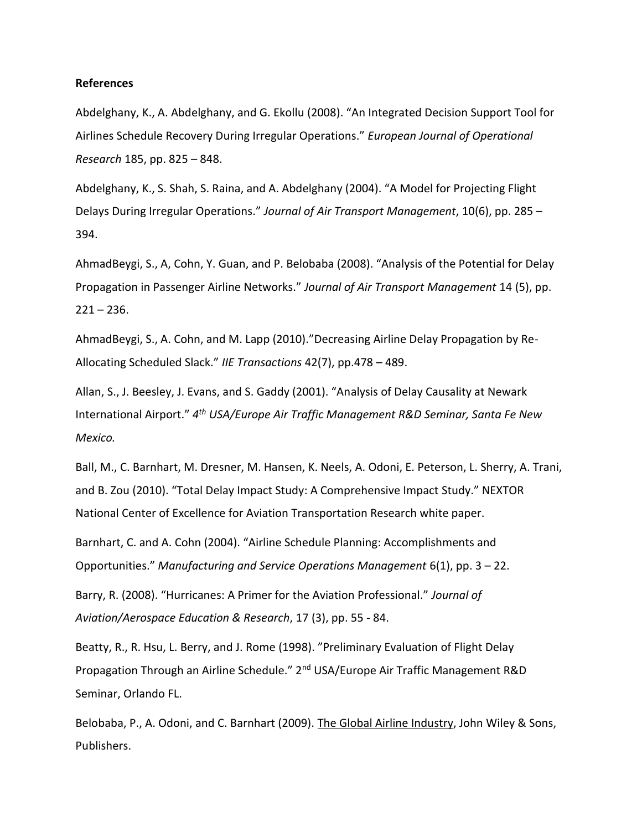#### **References**

Abdelghany, K., A. Abdelghany, and G. Ekollu (2008). "An Integrated Decision Support Tool for Airlines Schedule Recovery During Irregular Operations." *European Journal of Operational Research* 185, pp. 825 – 848.

Abdelghany, K., S. Shah, S. Raina, and A. Abdelghany (2004). "A Model for Projecting Flight Delays During Irregular Operations." *Journal of Air Transport Management*, 10(6), pp. 285 – 394.

AhmadBeygi, S., A, Cohn, Y. Guan, and P. Belobaba (2008). "Analysis of the Potential for Delay Propagation in Passenger Airline Networks." *Journal of Air Transport Management* 14 (5), pp.  $221 - 236$ .

AhmadBeygi, S., A. Cohn, and M. Lapp (2010)."Decreasing Airline Delay Propagation by Re-Allocating Scheduled Slack." *IIE Transactions* 42(7), pp.478 – 489.

Allan, S., J. Beesley, J. Evans, and S. Gaddy (2001). "Analysis of Delay Causality at Newark International Airport." *4 th USA/Europe Air Traffic Management R&D Seminar, Santa Fe New Mexico.*

Ball, M., C. Barnhart, M. Dresner, M. Hansen, K. Neels, A. Odoni, E. Peterson, L. Sherry, A. Trani, and B. Zou (2010). "Total Delay Impact Study: A Comprehensive Impact Study." NEXTOR National Center of Excellence for Aviation Transportation Research white paper.

Barnhart, C. and A. Cohn (2004). "Airline Schedule Planning: Accomplishments and Opportunities." *Manufacturing and Service Operations Management* 6(1), pp. 3 – 22.

Barry, R. (2008). "Hurricanes: A Primer for the Aviation Professional." *Journal of Aviation/Aerospace Education & Research*, 17 (3), pp. 55 - 84.

Beatty, R., R. Hsu, L. Berry, and J. Rome (1998). "Preliminary Evaluation of Flight Delay Propagation Through an Airline Schedule." 2nd USA/Europe Air Traffic Management R&D Seminar, Orlando FL.

Belobaba, P., A. Odoni, and C. Barnhart (2009). The Global Airline Industry, John Wiley & Sons, Publishers.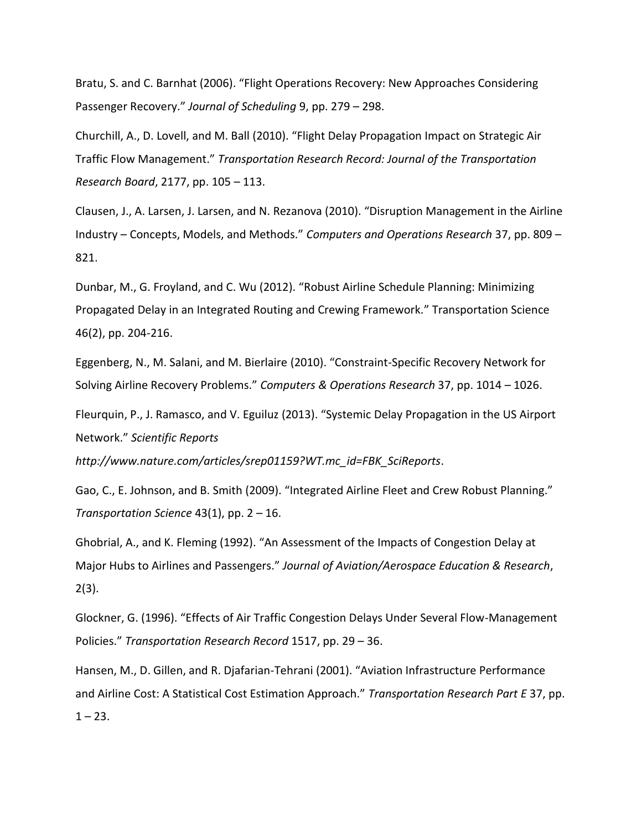Bratu, S. and C. Barnhat (2006). "Flight Operations Recovery: New Approaches Considering Passenger Recovery." *Journal of Scheduling* 9, pp. 279 – 298.

Churchill, A., D. Lovell, and M. Ball (2010). "Flight Delay Propagation Impact on Strategic Air Traffic Flow Management." *Transportation Research Record: Journal of the Transportation Research Board*, 2177, pp. 105 – 113.

Clausen, J., A. Larsen, J. Larsen, and N. Rezanova (2010). "Disruption Management in the Airline Industry – Concepts, Models, and Methods." *Computers and Operations Research* 37, pp. 809 – 821.

Dunbar, M., G. Froyland, and C. Wu (2012). "Robust Airline Schedule Planning: Minimizing Propagated Delay in an Integrated Routing and Crewing Framework." Transportation Science 46(2), pp. 204-216.

Eggenberg, N., M. Salani, and M. Bierlaire (2010). "Constraint-Specific Recovery Network for Solving Airline Recovery Problems." *Computers & Operations Research* 37, pp. 1014 – 1026.

Fleurquin, P., J. Ramasco, and V. Eguiluz (2013). "Systemic Delay Propagation in the US Airport Network." *Scientific Reports* 

*http://www.nature.com/articles/srep01159?WT.mc\_id=FBK\_SciReports*.

Gao, C., E. Johnson, and B. Smith (2009). "Integrated Airline Fleet and Crew Robust Planning." *Transportation Science* 43(1), pp. 2 – 16.

Ghobrial, A., and K. Fleming (1992). "An Assessment of the Impacts of Congestion Delay at Major Hubs to Airlines and Passengers." *Journal of Aviation/Aerospace Education & Research*, 2(3).

Glockner, G. (1996). "Effects of Air Traffic Congestion Delays Under Several Flow-Management Policies." *Transportation Research Record* 1517, pp. 29 – 36.

Hansen, M., D. Gillen, and R. Djafarian-Tehrani (2001). "Aviation Infrastructure Performance and Airline Cost: A Statistical Cost Estimation Approach." *Transportation Research Part E* 37, pp.  $1 - 23$ .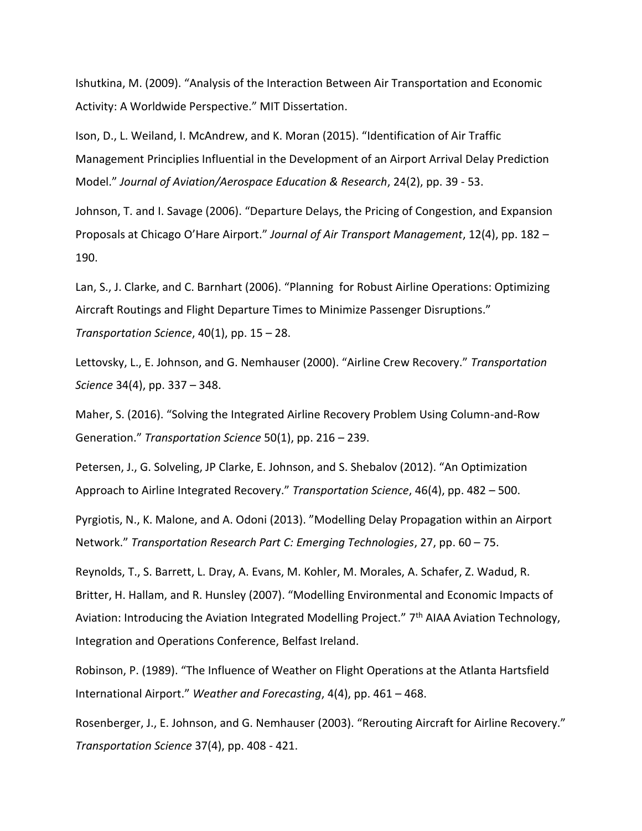Ishutkina, M. (2009). "Analysis of the Interaction Between Air Transportation and Economic Activity: A Worldwide Perspective." MIT Dissertation.

Ison, D., L. Weiland, I. McAndrew, and K. Moran (2015). "Identification of Air Traffic Management Principlies Influential in the Development of an Airport Arrival Delay Prediction Model." *Journal of Aviation/Aerospace Education & Research*, 24(2), pp. 39 - 53.

Johnson, T. and I. Savage (2006). "Departure Delays, the Pricing of Congestion, and Expansion Proposals at Chicago O'Hare Airport." *Journal of Air Transport Management*, 12(4), pp. 182 – 190.

Lan, S., J. Clarke, and C. Barnhart (2006). "Planning for Robust Airline Operations: Optimizing Aircraft Routings and Flight Departure Times to Minimize Passenger Disruptions." *Transportation Science*, 40(1), pp. 15 – 28.

Lettovsky, L., E. Johnson, and G. Nemhauser (2000). "Airline Crew Recovery." *Transportation Science* 34(4), pp. 337 – 348.

Maher, S. (2016). "Solving the Integrated Airline Recovery Problem Using Column-and-Row Generation." *Transportation Science* 50(1), pp. 216 – 239.

Petersen, J., G. Solveling, JP Clarke, E. Johnson, and S. Shebalov (2012). "An Optimization Approach to Airline Integrated Recovery." *Transportation Science*, 46(4), pp. 482 – 500.

Pyrgiotis, N., K. Malone, and A. Odoni (2013). "Modelling Delay Propagation within an Airport Network." *Transportation Research Part C: Emerging Technologies*, 27, pp. 60 – 75.

Reynolds, T., S. Barrett, L. Dray, A. Evans, M. Kohler, M. Morales, A. Schafer, Z. Wadud, R. Britter, H. Hallam, and R. Hunsley (2007). "Modelling Environmental and Economic Impacts of Aviation: Introducing the Aviation Integrated Modelling Project." 7<sup>th</sup> AIAA Aviation Technology, Integration and Operations Conference, Belfast Ireland.

Robinson, P. (1989). "The Influence of Weather on Flight Operations at the Atlanta Hartsfield International Airport." *Weather and Forecasting*, 4(4), pp. 461 – 468.

Rosenberger, J., E. Johnson, and G. Nemhauser (2003). "Rerouting Aircraft for Airline Recovery." *Transportation Science* 37(4), pp. 408 - 421.